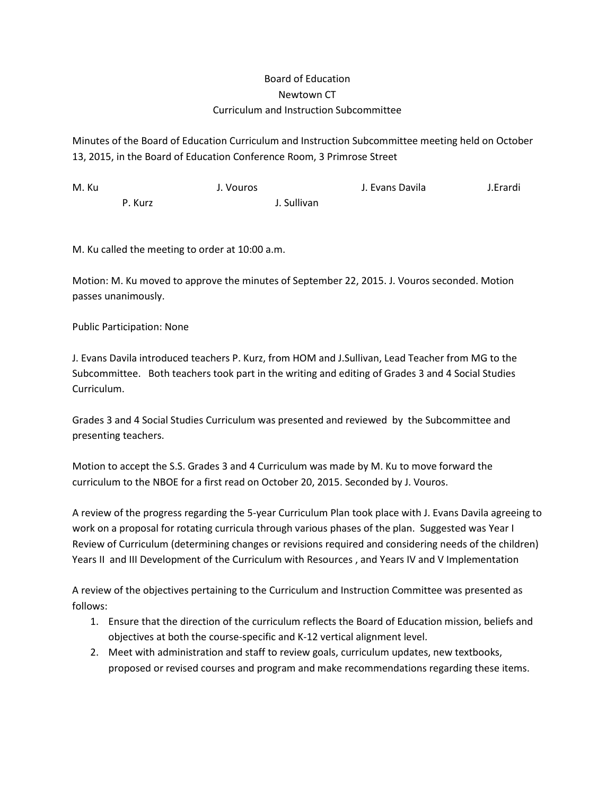## Board of Education Newtown CT Curriculum and Instruction Subcommittee

Minutes of the Board of Education Curriculum and Instruction Subcommittee meeting held on October 13, 2015, in the Board of Education Conference Room, 3 Primrose Street

| M. Ku |         | J. Vouros |             | J. Evans Davila | J.Erardi |
|-------|---------|-----------|-------------|-----------------|----------|
|       | P. Kurz |           | J. Sullivan |                 |          |

M. Ku called the meeting to order at 10:00 a.m.

Motion: M. Ku moved to approve the minutes of September 22, 2015. J. Vouros seconded. Motion passes unanimously.

Public Participation: None

J. Evans Davila introduced teachers P. Kurz, from HOM and J.Sullivan, Lead Teacher from MG to the Subcommittee. Both teachers took part in the writing and editing of Grades 3 and 4 Social Studies Curriculum.

Grades 3 and 4 Social Studies Curriculum was presented and reviewed by the Subcommittee and presenting teachers.

Motion to accept the S.S. Grades 3 and 4 Curriculum was made by M. Ku to move forward the curriculum to the NBOE for a first read on October 20, 2015. Seconded by J. Vouros.

A review of the progress regarding the 5-year Curriculum Plan took place with J. Evans Davila agreeing to work on a proposal for rotating curricula through various phases of the plan. Suggested was Year I Review of Curriculum (determining changes or revisions required and considering needs of the children) Years II and III Development of the Curriculum with Resources , and Years IV and V Implementation

A review of the objectives pertaining to the Curriculum and Instruction Committee was presented as follows:

- 1. Ensure that the direction of the curriculum reflects the Board of Education mission, beliefs and objectives at both the course-specific and K-12 vertical alignment level.
- 2. Meet with administration and staff to review goals, curriculum updates, new textbooks, proposed or revised courses and program and make recommendations regarding these items.